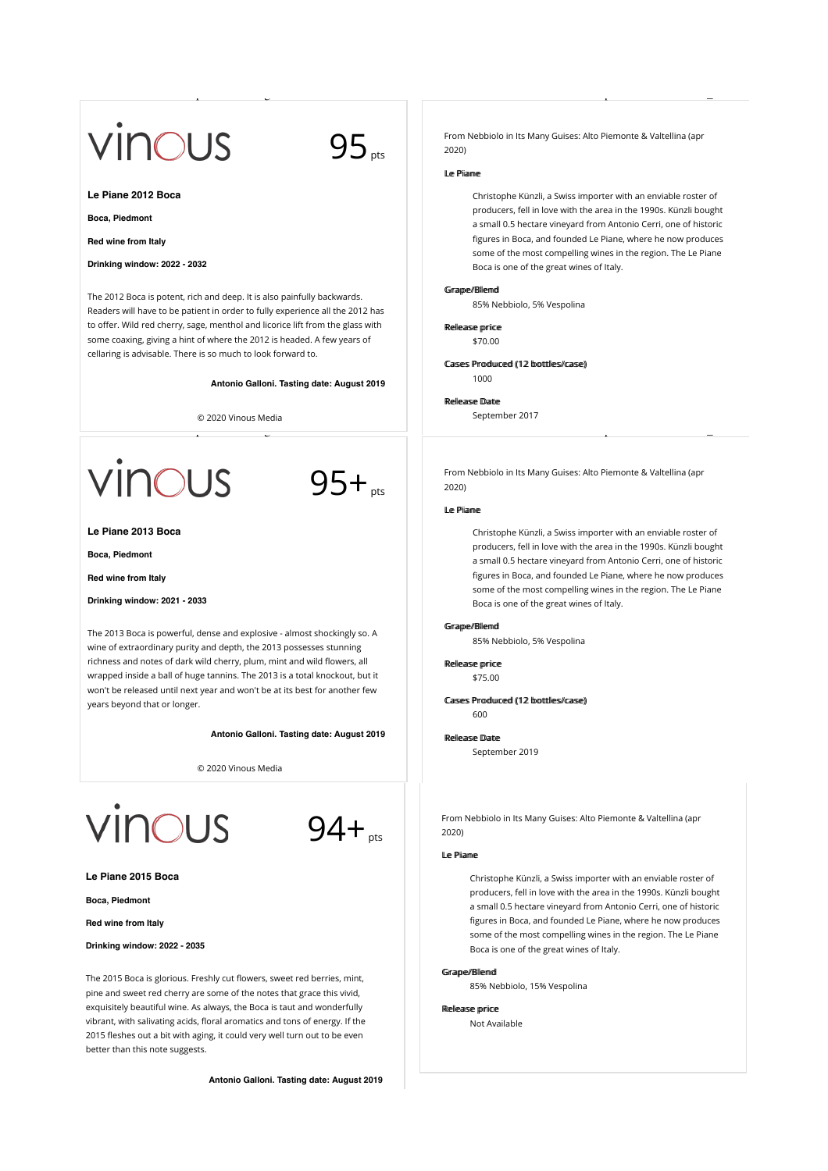# vinous

 $95_{pts}$ 

# **Le Piane 2012 Boca**

**Boca, Piedmont**

**Red wine from Italy**

## **Drinking window: 2022 - 2032**

The 2012 Boca is potent, rich and deep. It is also painfully backwards. Readers will have to be patient in order to fully experience all the 2012 has to offer. Wild red cherry, sage, menthol and licorice lift from the glass with some coaxing, giving a hint of where the 2012 is headed. A few years of cellaring is advisable. There is so much to look forward to.

**Antonio Galloni. Tasting date: August 2019**

 $95 +$ <sub>pts</sub>

© 2020 Vinous Media

**CUS** 

**Le Piane 2013 Boca**

**Boca, Piedmont**

**Red wine from Italy**

**Drinking window: 2021 - 2033**

The 2013 Boca is powerful, dense and explosive - almost shockingly so. A wine of extraordinary purity and depth, the 2013 possesses stunning richness and notes of dark wild cherry, plum, mint and wild flowers, all wrapped inside a ball of huge tannins. The 2013 is a total knockout, but it won't be released until next year and won't be at its best for another few years beyond that or longer.

**Antonio Galloni. Tasting date: August 2019**

© 2020 Vinous Media





**Le Piane 2015 Boca**

**Boca, Piedmont**

**Red wine from Italy**

**Drinking window: 2022 - 2035**

The 2015 Boca is glorious. Freshly cut flowers, sweet red berries, mint, pine and sweet red cherry are some of the notes that grace this vivid, exquisitely beautiful wine. As always, the Boca is taut and wonderfully vibrant, with salivating acids, floral aromatics and tons of energy. If the 2015 fleshes out a bit with aging, it could very well turn out to be even better than this note suggests.

**Antonio Galloni. Tasting date: August 2019**

From Nebbiolo in Its Many Guises: Alto Piemonte & Valtellina (apr 2020)

# LLee PPiiaannee

Wine  $\mathcal{L}$  is the List  $\mathcal{L}$  and  $\mathcal{L}$  are  $\mathcal{L}$  things wine https://vinous.com/wine https://vinous.com/wine https://vinous.com/wine https://vinous.com/wine https://vinous.com/wine https://vinous.com/wine http

Christophe Künzli, a Swiss importer with an enviable roster of producers, fell in love with the area in the 1990s. Künzli bought a small 0.5 hectare vineyard from Antonio Cerri, one of historic figures in Boca, and founded Le Piane, where he now produces some of the most compelling wines in the region. The Le Piane Boca is one of the great wines of Italy.

#### Grape//Bllemd

85% Nebbiolo, 5% Vespolina

Rellease priice

\$70.00

Cases Produced (12 bottles/case) 1000

### Rellease Date

 $\mathbb{R}^n$  and  $\mathbb{R}^n$  are  $\mathbb{R}^n$  and  $\mathbb{R}^n$  are  $\mathbb{R}^n$  and  $\mathbb{R}^n$  are  $\mathbb{R}^n$  and  $\mathbb{R}^n$  are  $\mathbb{R}^n$  and  $\mathbb{R}^n$  are  $\mathbb{R}^n$  and  $\mathbb{R}^n$  are  $\mathbb{R}^n$  and  $\mathbb{R}^n$  are  $\mathbb{R}^n$ 

September 2017

From Nebbiolo in Its Many Guises: Alto Piemonte & Valtellina (apr 2020)

### LLee PPiiaannee

Christophe Künzli, a Swiss importer with an enviable roster of producers, fell in love with the area in the 1990s. Künzli bought a small 0.5 hectare vineyard from Antonio Cerri, one of historic figures in Boca, and founded Le Piane, where he now produces some of the most compelling wines in the region. The Le Piane Boca is one of the great wines of Italy.

#### Grame//Blemd

85% Nebbiolo, 5% Vespolina

Rellease priice \$75.00

Cases Produced (12 bottles/case) 600

Rellease Date

September 2019

From Nebbiolo in Its Many Guises: Alto Piemonte & Valtellina (apr 2020)

#### LLee PPiiaannee

Christophe Künzli, a Swiss importer with an enviable roster of producers, fell in love with the area in the 1990s. Künzli bought a small 0.5 hectare vineyard from Antonio Cerri, one of historic figures in Boca, and founded Le Piane, where he now produces some of the most compelling wines in the region. The Le Piane Boca is one of the great wines of Italy.

#### Grame//Blemd

85% Nebbiolo, 15% Vespolina

#### Rellease priice

Not Available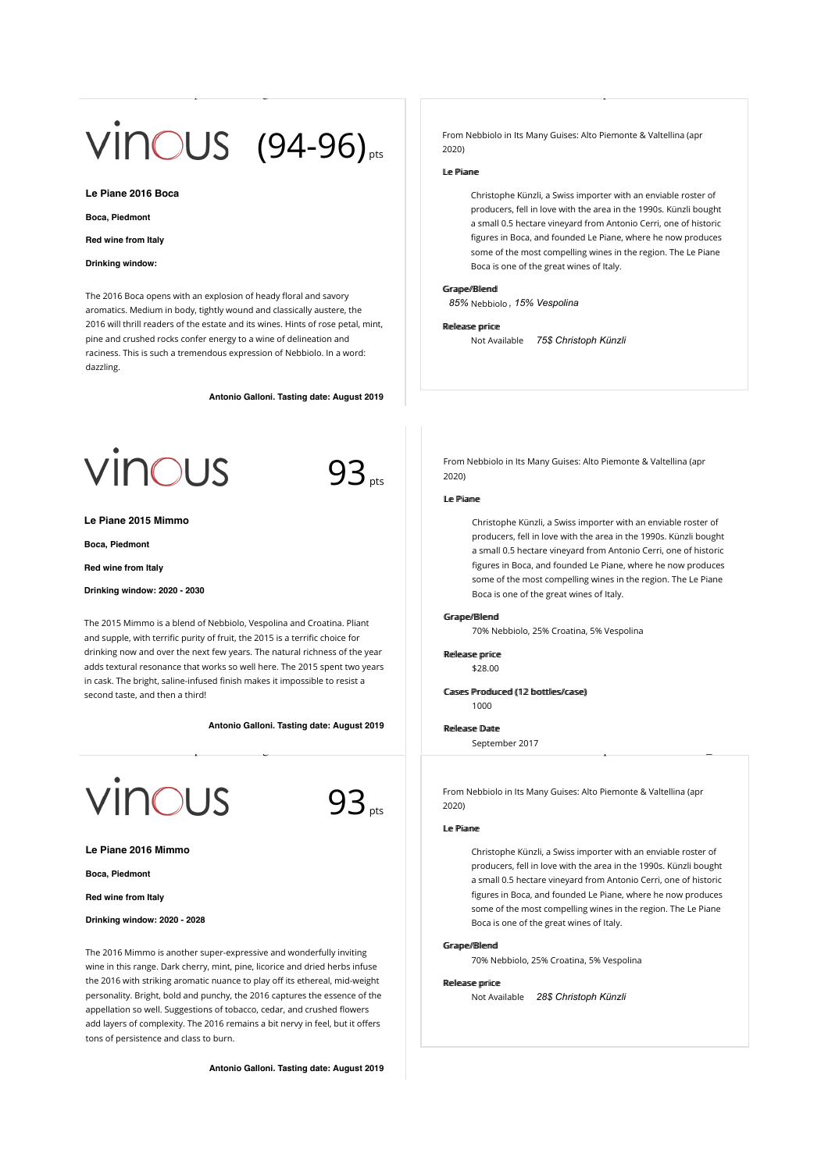# $VINOUS$  (94-96)<sub>pts</sub>

**Le Piane 2016 Boca**

**Boca, Piedmont**

#### **Red wine from Italy**

#### **Drinking window:**

The 2016 Boca opens with an explosion of heady floral and savory aromatics. Medium in body, tightly wound and classically austere, the 2016 will thrill readers of the estate and its wines. Hints of rose petal, mint, pine and crushed rocks confer energy to a wine of delineation and raciness. This is such a tremendous expression of Nebbiolo. In a word: dazzling.

**Antonio Galloni. Tasting date: August 2019**





 $93_{\text{obs}}$ 

#### **Le Piane 2015 Mimmo**

**Boca, Piedmont**

**Red wine from Italy**

**Drinking window: 2020 - 2030**

The 2015 Mimmo is a blend of Nebbiolo, Vespolina and Croatina. Pliant and supple, with terrific purity of fruit, the 2015 is a terrific choice for drinking now and over the next few years. The natural richness of the year adds textural resonance that works so well here. The 2015 spent two years in cask. The bright, saline-infused finish makes it impossible to resist a second taste, and then a third!

© 2020 Vinous Media

**Antonio Galloni. Tasting date: August 2019**



**Le Piane 2016 Mimmo**

**Boca, Piedmont**

**Red wine from Italy**

**Drinking window: 2020 - 2028**

The 2016 Mimmo is another super-expressive and wonderfully inviting wine in this range. Dark cherry, mint, pine, licorice and dried herbs infuse the 2016 with striking aromatic nuance to play off its ethereal, mid-weight personality. Bright, bold and punchy, the 2016 captures the essence of the appellation so well. Suggestions of tobacco, cedar, and crushed flowers add layers of complexity. The 2016 remains a bit nervy in feel, but it offers tons of persistence and class to burn.

**Antonio Galloni. Tasting date: August 2019**

From Nebbiolo in Its Many Guises: Alto Piemonte & Valtellina (apr 2020)

## Le Piiame

Wine List | Vinous - Explore All Things Wine https://vinous.com/wine\_lists/54885

Christophe Künzli, a Swiss importer with an enviable roster of producers, fell in love with the area in the 1990s. Künzli bought a small 0.5 hectare vineyard from Antonio Cerri, one of historic figures in Boca, and founded Le Piane, where he now produces some of the most compelling wines in the region. The Le Piane Boca is one of the great wines of Italy.

#### Grame//Blemd

85% Nebbiolo, 15% Vespolina

#### Rellease priice

Not Available *75\$ Christoph Künzli*

From Nebbiolo in Its Many Guises: Alto Piemonte & Valtellina (apr 2020)

## Le Piiame

 $W_{\rm eff}$  is  $V_{\rm eff}$  and  $V_{\rm eff}$  wine https://vinous.com/wine https://vinous.com/wine https://vinous.com/wine https://vinous.com/wine https://vinous.com/wine https://vinous.com/wine https://vinous.com/wine http://vinous.

Christophe Künzli, a Swiss importer with an enviable roster of producers, fell in love with the area in the 1990s. Künzli bought a small 0.5 hectare vineyard from Antonio Cerri, one of historic figures in Boca, and founded Le Piane, where he now produces some of the most compelling wines in the region. The Le Piane Boca is one of the great wines of Italy.

## Grape//Bllemd

70% Nebbiolo, 25% Croatina, 5% Vespolina

Rellease priice \$28.00

Cases Produced (12 bottles/case) 1000

#### RReelleeaassee DDaattee

Sentember 2017 Wine List  $\sim$  Explore All Things Wine https://vinous.com/wine https://vinous.com/wine https://vinous.com/wine

> From Nebbiolo in Its Many Guises: Alto Piemonte & Valtellina (apr 2020)

# Le Piiame

Christophe Künzli, a Swiss importer with an enviable roster of producers, fell in love with the area in the 1990s. Künzli bought a small 0.5 hectare vineyard from Antonio Cerri, one of historic figures in Boca, and founded Le Piane, where he now produces some of the most compelling wines in the region. The Le Piane Boca is one of the great wines of Italy.

## Grape//Blend

70% Nebbiolo, 25% Croatina, 5% Vespolina

#### Rellease priice

Not Available *28\$ Christoph Künzli*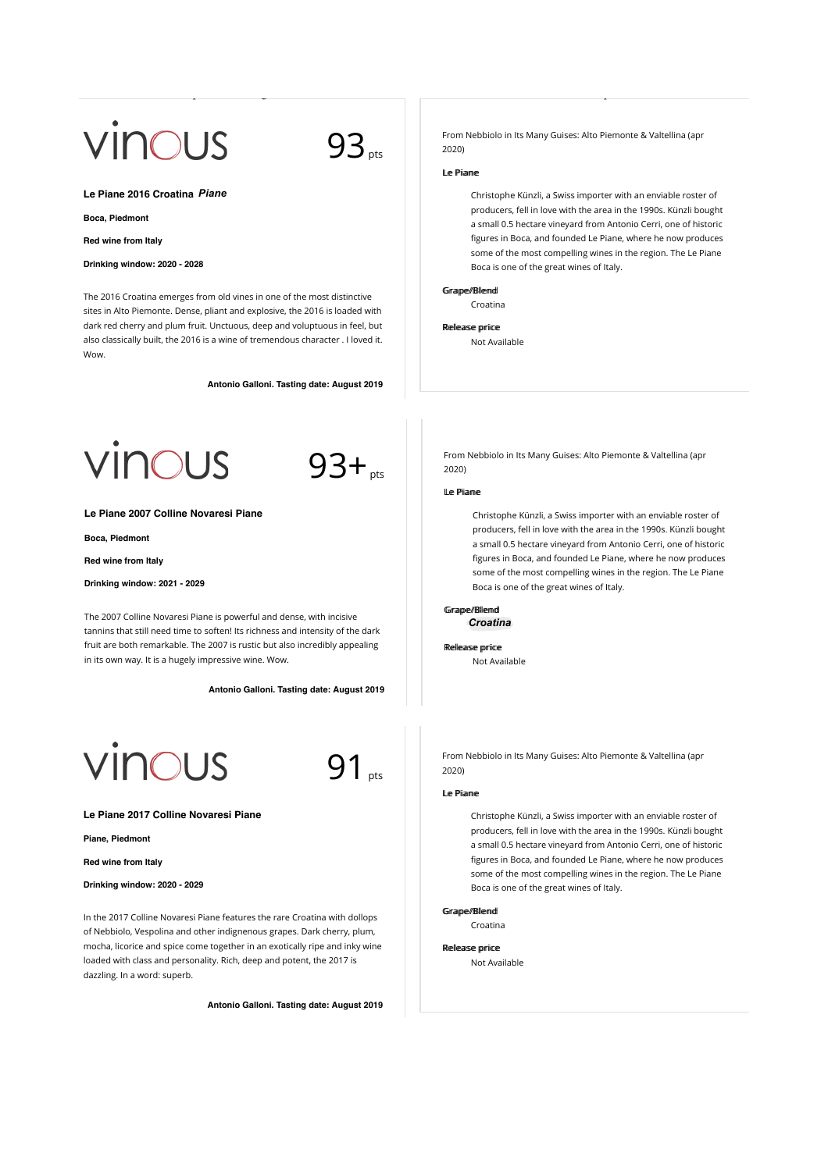# vinous

 $93<sub>pts</sub>$ 

**Le Piane 2016 Croatina** *Piane*

#### **Boca, Piedmont**

**Red wine from Italy**

# **Drinking window: 2020 - 2028**

The 2016 Croatina emerges from old vines in one of the most distinctive sites in Alto Piemonte. Dense, pliant and explosive, the 2016 is loaded with dark red cherry and plum fruit. Unctuous, deep and voluptuous in feel, but also classically built, the 2016 is a wine of tremendous character . I loved it. Wow.

**Antonio Galloni. Tasting date: August 2019**

© 2020 Vinous Media  $\otimes$  2020 Vinous Media

**CUS** 



**Le Piane 2007 Colline Novaresi Piane**

**Boca, Piedmont**

**Red wine from Italy**

**Drinking window: 2021 - 2029**

The 2007 Colline Novaresi Piane is powerful and dense, with incisive tannins that still need time to soften! Its richness and intensity of the dark fruit are both remarkable. The 2007 is rustic but also incredibly appealing in its own way. It is a hugely impressive wine. Wow.

**Antonio Galloni. Tasting date: August 2019**

© 2020 Vinous Media

**CUS** 

91<sub>nts</sub>

**Le Piane 2017 Colline Novaresi Piane**

**Piane, Piedmont**

**Red wine from Italy**

**Drinking window: 2020 - 2029**

In the 2017 Colline Novaresi Piane features the rare Croatina with dollops of Nebbiolo, Vespolina and other indignenous grapes. Dark cherry, plum, mocha, licorice and spice come together in an exotically ripe and inky wine loaded with class and personality. Rich, deep and potent, the 2017 is dazzling. In a word: superb.

**Antonio Galloni. Tasting date: August 2019**

© 2020 Vinous Media

From Nebbiolo in Its Many Guises: Alto Piemonte & Valtellina (apr 2020)

# Le Piiane

Wine List  $\sim$  Explore All Things Wine https://vinous.com/wine https://vinous.com/wine https://vinous.com/wine

Christophe Künzli, a Swiss importer with an enviable roster of producers, fell in love with the area in the 1990s. Künzli bought a small 0.5 hectare vineyard from Antonio Cerri, one of historic figures in Boca, and founded Le Piane, where he now produces some of the most compelling wines in the region. The Le Piane Boca is one of the great wines of Italy.

### Grape//Blend

Croatina

Rellease priice

Not Available

From Nebbiolo in Its Many Guises: Alto Piemonte & Valtellina (apr 2020)

## Le Piianne

Christophe Künzli, a Swiss importer with an enviable roster of producers, fell in love with the area in the 1990s. Künzli bought a small 0.5 hectare vineyard from Antonio Cerri, one of historic figures in Boca, and founded Le Piane, where he now produces some of the most compelling wines in the region. The Le Piane Boca is one of the great wines of Italy.

## Grape//Blend Nebbiolo *Croatina*

Rellease priice

Not Available

From Nebbiolo in Its Many Guises: Alto Piemonte & Valtellina (apr 2020)

## Le Piiame

Christophe Künzli, a Swiss importer with an enviable roster of producers, fell in love with the area in the 1990s. Künzli bought a small 0.5 hectare vineyard from Antonio Cerri, one of historic figures in Boca, and founded Le Piane, where he now produces some of the most compelling wines in the region. The Le Piane Boca is one of the great wines of Italy.

#### Grame//Bllemd

Croatina

Rellease priice Not Available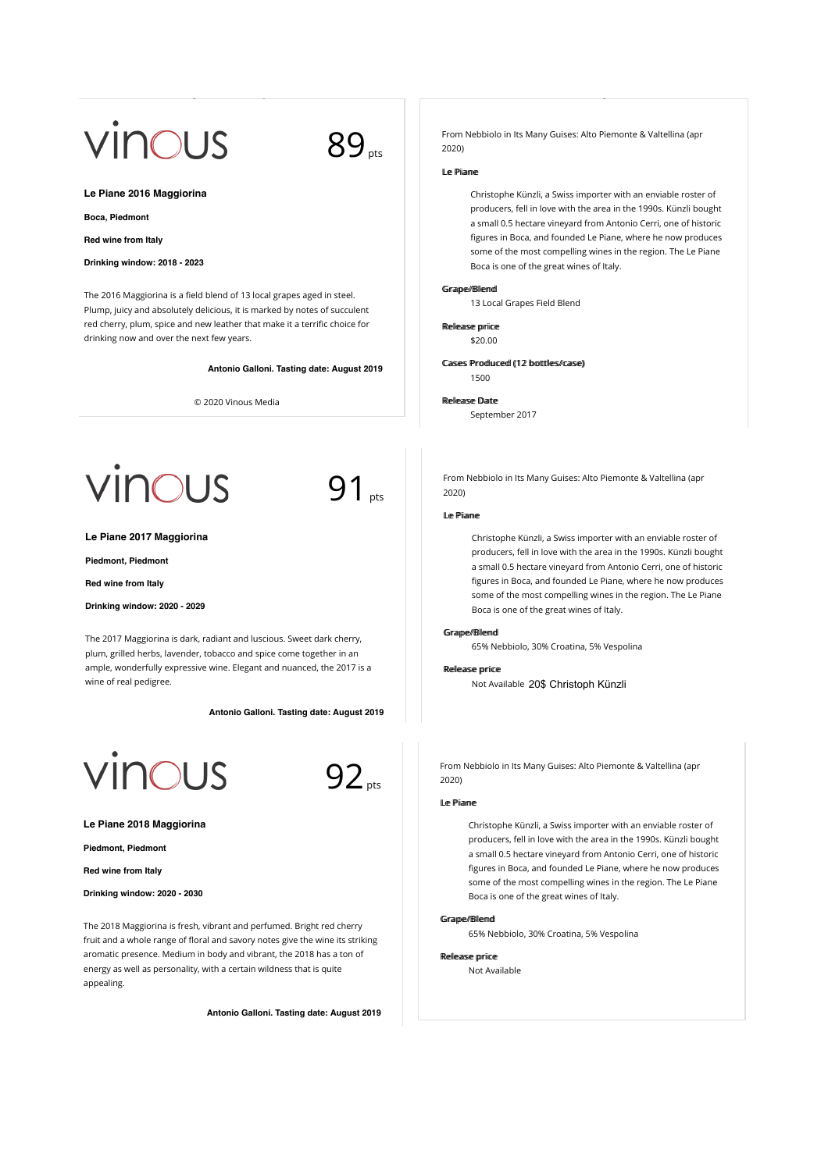# vinous

89<sub>pts</sub>

**Le Piane 2016 Maggiorina**

#### **Boca, Piedmont**

**Red wine from Italy**

## **Drinking window: 2018 - 2023**

The 2016 Maggiorina is a field blend of 13 local grapes aged in steel. Plump, juicy and absolutely delicious, it is marked by notes of succulent red cherry, plum, spice and new leather that make it a terrific choice for drinking now and over the next few years.

**Antonio Galloni. Tasting date: August 2019**

© 2020 Vinous Media



**Le Piane 2017 Maggiorina**

**Piedmont, Piedmont**

**Red wine from Italy**

**Drinking window: 2020 - 2029**

The 2017 Maggiorina is dark, radiant and luscious. Sweet dark cherry, plum, grilled herbs, lavender, tobacco and spice come together in an ample, wonderfully expressive wine. Elegant and nuanced, the 2017 is a wine of real pedigree.

**Antonio Galloni. Tasting date: August 2019**





91 pts

**Le Piane 2018 Maggiorina**

**Piedmont, Piedmont**

**Red wine from Italy**

**Drinking window: 2020 - 2030**

The 2018 Maggiorina is fresh, vibrant and perfumed. Bright red cherry fruit and a whole range of floral and savory notes give the wine its striking aromatic presence. Medium in body and vibrant, the 2018 has a ton of energy as well as personality, with a certain wildness that is quite appealing.

**Antonio Galloni. Tasting date: August 2019**

© 2020 Vinous Media

From Nebbiolo in Its Many Guises: Alto Piemonte & Valtellina (apr 2020)

### Le Piiane

Wine List | Vinous - Explore All Things Wine https://vinous.com/wine\_lists/54885

Christophe Künzli, a Swiss importer with an enviable roster of producers, fell in love with the area in the 1990s. Künzli bought a small 0.5 hectare vineyard from Antonio Cerri, one of historic figures in Boca, and founded Le Piane, where he now produces some of the most compelling wines in the region. The Le Piane Boca is one of the great wines of Italy.

### Grape//Blend

13 Local Grapes Field Blend

# Rellease priice

\$20.00

Cases Produced (12 bottles/case) 1500

#### RReelleeaassee DDaattee

September 2017

From Nebbiolo in Its Many Guises: Alto Piemonte & Valtellina (apr 2020)

## Le Piianne

Christophe Künzli, a Swiss importer with an enviable roster of producers, fell in love with the area in the 1990s. Künzli bought a small 0.5 hectare vineyard from Antonio Cerri, one of historic figures in Boca, and founded Le Piane, where he now produces some of the most compelling wines in the region. The Le Piane Boca is one of the great wines of Italy.

#### Grape//Blend

65% Nebbiolo, 30% Croatina, 5% Vespolina

#### **Releace price**

Not Available 20\$ Christoph Künzli

From Nebbiolo in Its Many Guises: Alto Piemonte & Valtellina (apr 2020)

## LLee PPiiaannee

Christophe Künzli, a Swiss importer with an enviable roster of producers, fell in love with the area in the 1990s. Künzli bought a small 0.5 hectare vineyard from Antonio Cerri, one of historic figures in Boca, and founded Le Piane, where he now produces some of the most compelling wines in the region. The Le Piane Boca is one of the great wines of Italy.

#### Grame//Blemd

65% Nebbiolo, 30% Croatina, 5% Vespolina

# Release price

Not Available